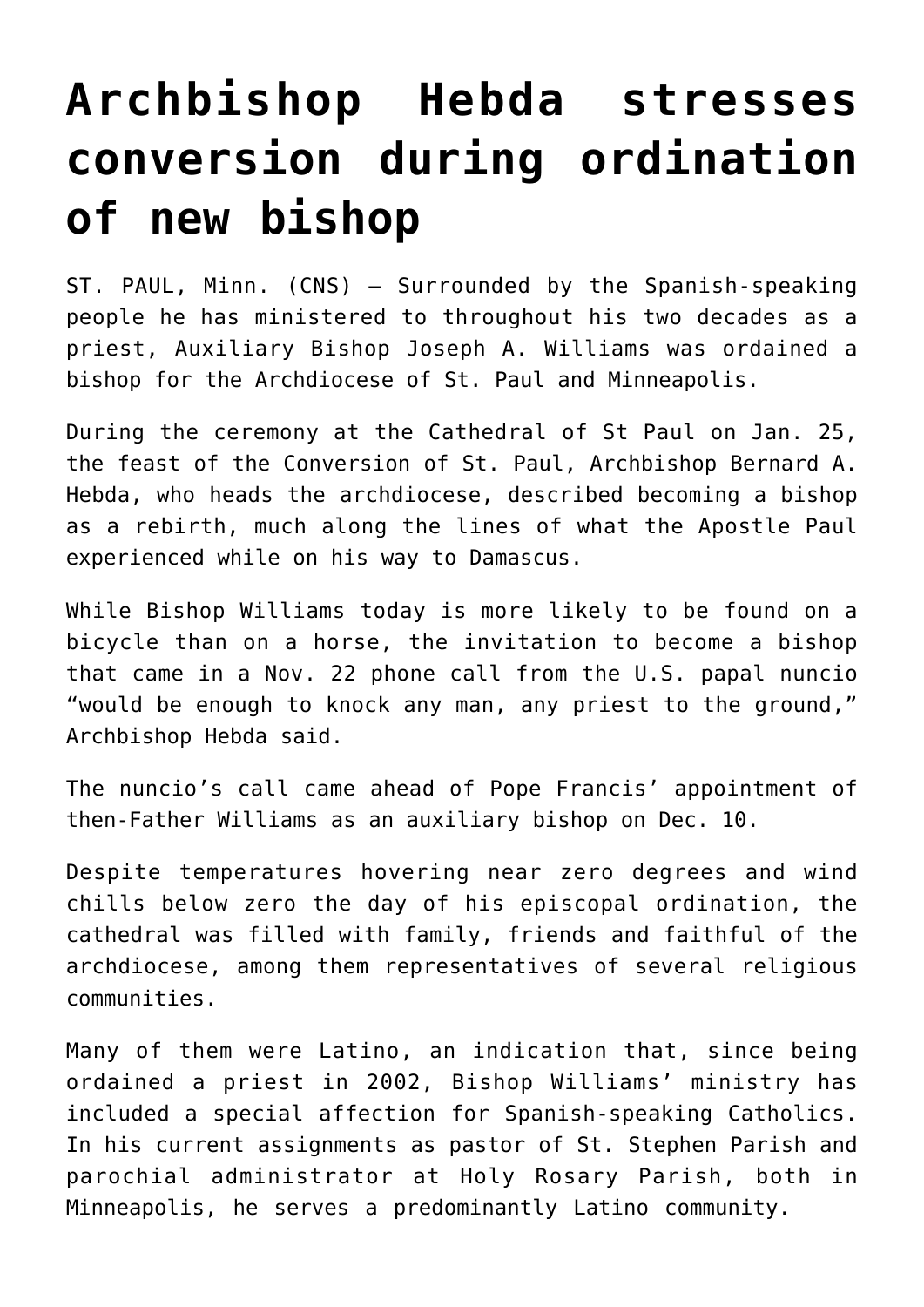## **[Archbishop Hebda stresses](https://www.osvnews.com/amp/2022/01/27/archbishop-hebda-stresses-conversion-during-ordination-of-new-bishop/) [conversion during ordination](https://www.osvnews.com/amp/2022/01/27/archbishop-hebda-stresses-conversion-during-ordination-of-new-bishop/) [of new bishop](https://www.osvnews.com/amp/2022/01/27/archbishop-hebda-stresses-conversion-during-ordination-of-new-bishop/)**

ST. PAUL, Minn. (CNS) — Surrounded by the Spanish-speaking people he has ministered to throughout his two decades as a priest, Auxiliary Bishop Joseph A. Williams was ordained a bishop for the Archdiocese of St. Paul and Minneapolis.

During the ceremony at the Cathedral of St Paul on Jan. 25, the feast of the Conversion of St. Paul, Archbishop Bernard A. Hebda, who heads the archdiocese, described becoming a bishop as a rebirth, much along the lines of what the Apostle Paul experienced while on his way to Damascus.

While Bishop Williams today is more likely to be found on a bicycle than on a horse, the invitation to become a bishop that came in a Nov. 22 phone call from the U.S. papal nuncio "would be enough to knock any man, any priest to the ground," Archbishop Hebda said.

The nuncio's call came ahead of Pope Francis' appointment of then-Father Williams as an auxiliary bishop on Dec. 10.

Despite temperatures hovering near zero degrees and wind chills below zero the day of his episcopal ordination, the cathedral was filled with family, friends and faithful of the archdiocese, among them representatives of several religious communities.

Many of them were Latino, an indication that, since being ordained a priest in 2002, Bishop Williams' ministry has included a special affection for Spanish-speaking Catholics. In his current assignments as pastor of St. Stephen Parish and parochial administrator at Holy Rosary Parish, both in Minneapolis, he serves a predominantly Latino community.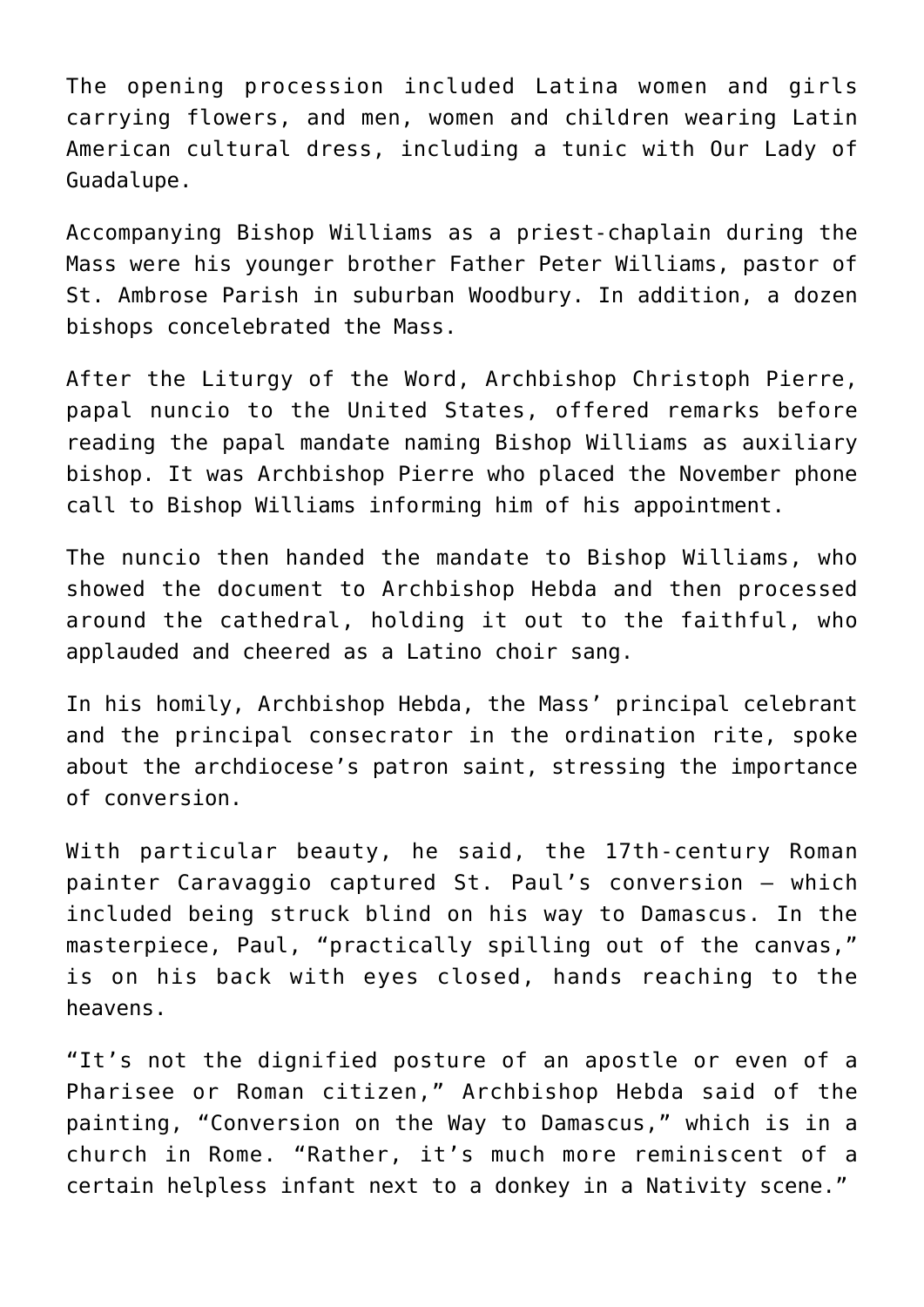The opening procession included Latina women and girls carrying flowers, and men, women and children wearing Latin American cultural dress, including a tunic with Our Lady of Guadalupe.

Accompanying Bishop Williams as a priest-chaplain during the Mass were his younger brother Father Peter Williams, pastor of St. Ambrose Parish in suburban Woodbury. In addition, a dozen bishops concelebrated the Mass.

After the Liturgy of the Word, Archbishop Christoph Pierre, papal nuncio to the United States, offered remarks before reading the papal mandate naming Bishop Williams as auxiliary bishop. It was Archbishop Pierre who placed the November phone call to Bishop Williams informing him of his appointment.

The nuncio then handed the mandate to Bishop Williams, who showed the document to Archbishop Hebda and then processed around the cathedral, holding it out to the faithful, who applauded and cheered as a Latino choir sang.

In his homily, Archbishop Hebda, the Mass' principal celebrant and the principal consecrator in the ordination rite, spoke about the archdiocese's patron saint, stressing the importance of conversion.

With particular beauty, he said, the 17th-century Roman painter Caravaggio captured St. Paul's conversion — which included being struck blind on his way to Damascus. In the masterpiece, Paul, "practically spilling out of the canvas," is on his back with eyes closed, hands reaching to the heavens.

"It's not the dignified posture of an apostle or even of a Pharisee or Roman citizen," Archbishop Hebda said of the painting, "Conversion on the Way to Damascus," which is in a church in Rome. "Rather, it's much more reminiscent of a certain helpless infant next to a donkey in a Nativity scene."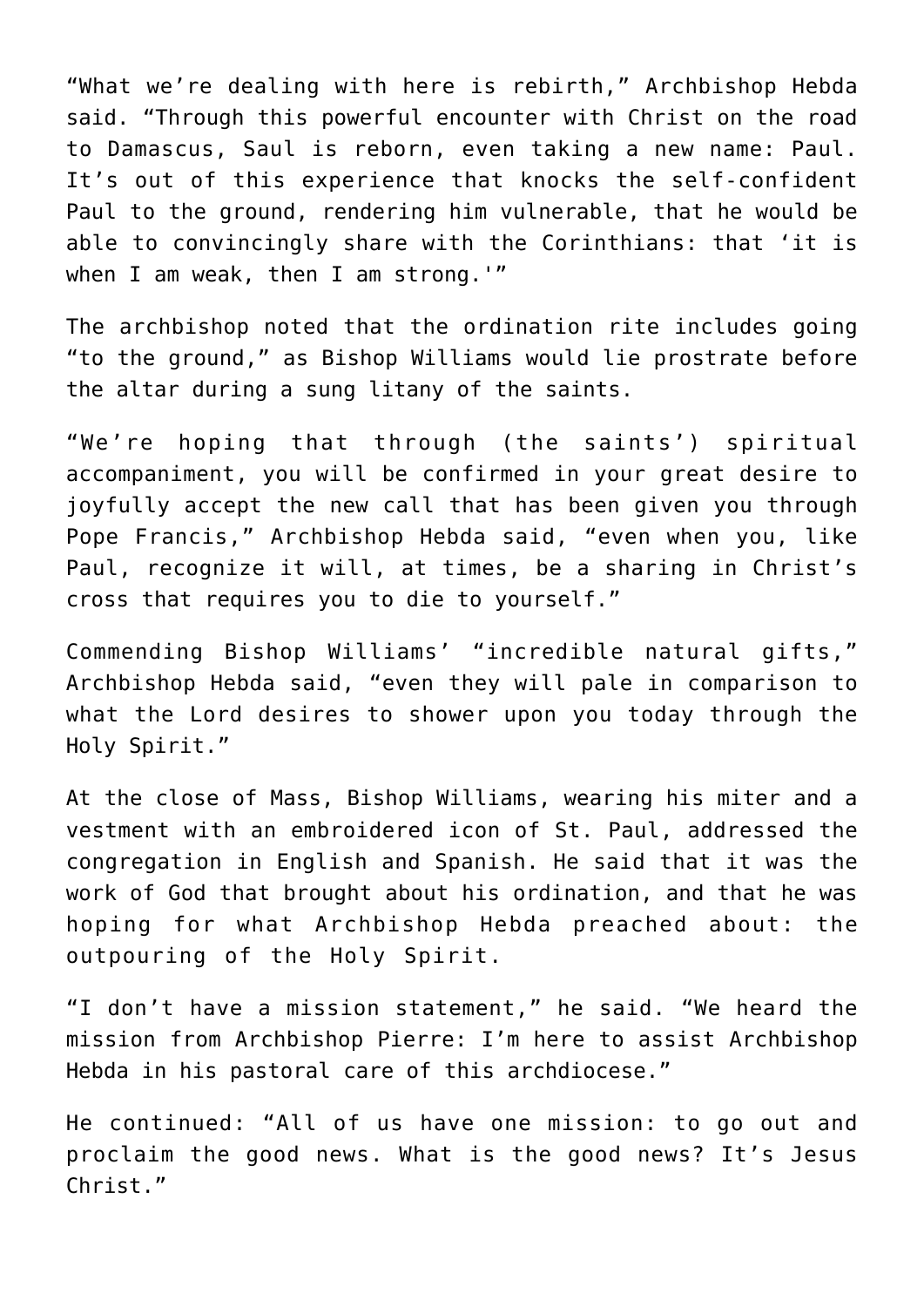"What we're dealing with here is rebirth," Archbishop Hebda said. "Through this powerful encounter with Christ on the road to Damascus, Saul is reborn, even taking a new name: Paul. It's out of this experience that knocks the self-confident Paul to the ground, rendering him vulnerable, that he would be able to convincingly share with the Corinthians: that 'it is when I am weak, then I am strong.'"

The archbishop noted that the ordination rite includes going "to the ground," as Bishop Williams would lie prostrate before the altar during a sung litany of the saints.

"We're hoping that through (the saints') spiritual accompaniment, you will be confirmed in your great desire to joyfully accept the new call that has been given you through Pope Francis," Archbishop Hebda said, "even when you, like Paul, recognize it will, at times, be a sharing in Christ's cross that requires you to die to yourself."

Commending Bishop Williams' "incredible natural gifts," Archbishop Hebda said, "even they will pale in comparison to what the Lord desires to shower upon you today through the Holy Spirit."

At the close of Mass, Bishop Williams, wearing his miter and a vestment with an embroidered icon of St. Paul, addressed the congregation in English and Spanish. He said that it was the work of God that brought about his ordination, and that he was hoping for what Archbishop Hebda preached about: the outpouring of the Holy Spirit.

"I don't have a mission statement," he said. "We heard the mission from Archbishop Pierre: I'm here to assist Archbishop Hebda in his pastoral care of this archdiocese."

He continued: "All of us have one mission: to go out and proclaim the good news. What is the good news? It's Jesus Christ."